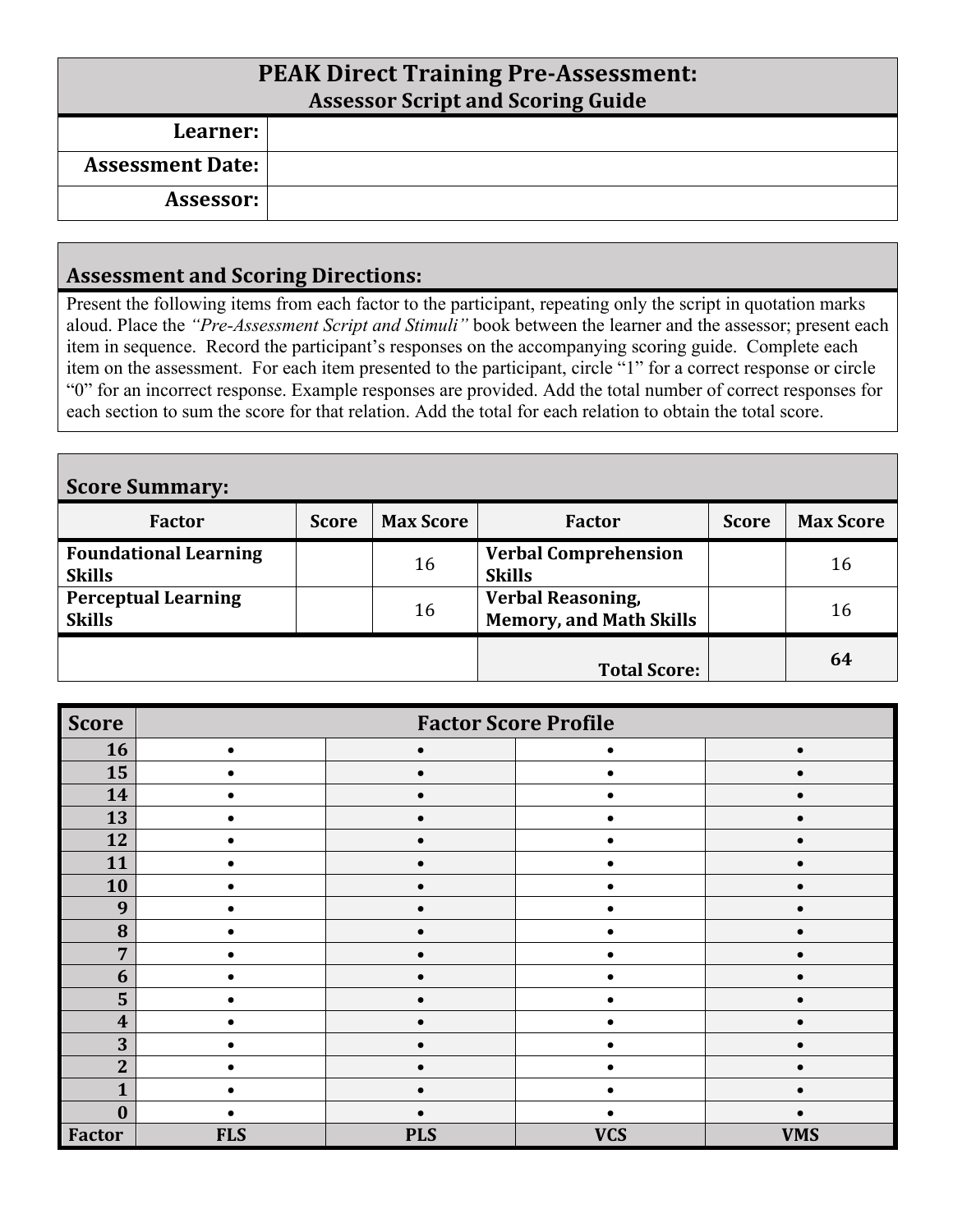| <b>PEAK Direct Training Pre-Assessment:</b><br><b>Assessor Script and Scoring Guide</b> |  |  |  |  |
|-----------------------------------------------------------------------------------------|--|--|--|--|
| Learner:                                                                                |  |  |  |  |
| <b>Assessment Date:</b>                                                                 |  |  |  |  |
| Assessor:                                                                               |  |  |  |  |

#### **Assessment and Scoring Directions:**

Present the following items from each factor to the participant, repeating only the script in quotation marks aloud. Place the *"Pre-Assessment Script and Stimuli"* book between the learner and the assessor; present each item in sequence. Record the participant's responses on the accompanying scoring guide. Complete each item on the assessment. For each item presented to the participant, circle "1" for a correct response or circle "0" for an incorrect response. Example responses are provided. Add the total number of correct responses for each section to sum the score for that relation. Add the total for each relation to obtain the total score.

| <b>Score Summary:</b>                         |              |                  |                                                            |              |                  |  |
|-----------------------------------------------|--------------|------------------|------------------------------------------------------------|--------------|------------------|--|
| Factor                                        | <b>Score</b> | <b>Max Score</b> | <b>Factor</b>                                              | <b>Score</b> | <b>Max Score</b> |  |
| <b>Foundational Learning</b><br><b>Skills</b> |              | 16               | <b>Verbal Comprehension</b><br><b>Skills</b>               |              | 16               |  |
| <b>Perceptual Learning</b><br><b>Skills</b>   |              | 16               | <b>Verbal Reasoning,</b><br><b>Memory, and Math Skills</b> |              | 16               |  |
|                                               |              |                  | <b>Total Score:</b>                                        |              | 64               |  |

| <b>Score</b>     | <b>Factor Score Profile</b> |            |            |            |  |  |
|------------------|-----------------------------|------------|------------|------------|--|--|
| 16               |                             | $\bullet$  |            |            |  |  |
| 15               |                             |            |            |            |  |  |
| 14               |                             |            |            |            |  |  |
| 13               |                             |            |            |            |  |  |
| 12               |                             |            |            |            |  |  |
| 11               | $\bullet$                   | $\bullet$  |            |            |  |  |
| 10               |                             |            |            |            |  |  |
| 9                | ٠                           |            |            |            |  |  |
| 8                |                             |            |            |            |  |  |
| $\overline{7}$   |                             |            |            |            |  |  |
| 6                |                             |            |            |            |  |  |
| 5                |                             |            |            |            |  |  |
| $\boldsymbol{4}$ |                             |            |            |            |  |  |
| 3                |                             |            |            |            |  |  |
| $\overline{2}$   |                             |            |            |            |  |  |
| 1                |                             |            |            |            |  |  |
| $\mathbf{0}$     |                             |            |            |            |  |  |
| Factor           | <b>FLS</b>                  | <b>PLS</b> | <b>VCS</b> | <b>VMS</b> |  |  |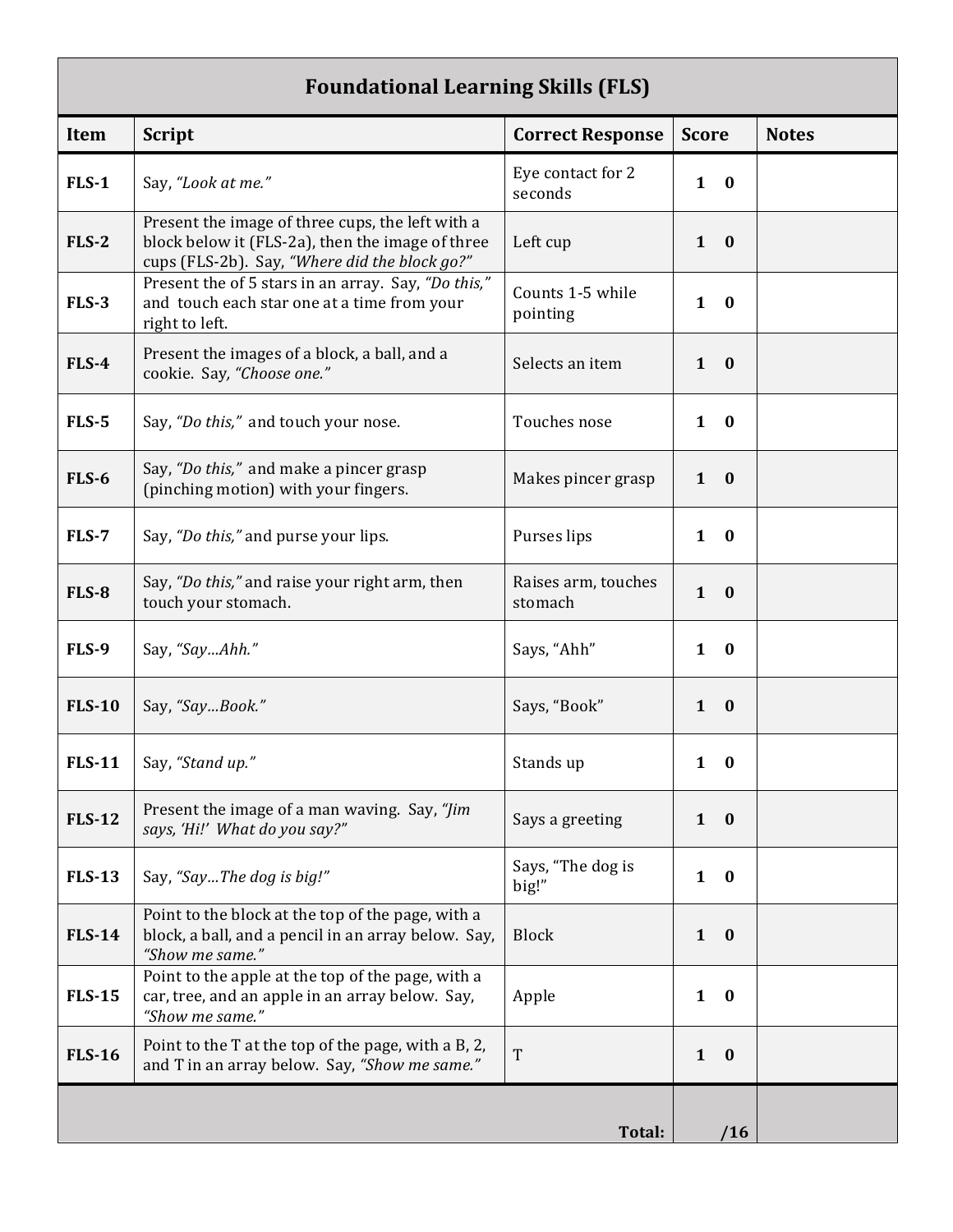### **Foundational Learning Skills (FLS)**

| Item          | <b>Script</b>                                                                                                                                         | <b>Correct Response</b>        | <b>Score</b>             | <b>Notes</b> |
|---------------|-------------------------------------------------------------------------------------------------------------------------------------------------------|--------------------------------|--------------------------|--------------|
| <b>FLS-1</b>  | Say, "Look at me."                                                                                                                                    | Eye contact for 2<br>seconds   | $\mathbf{1}$<br>$\bf{0}$ |              |
| <b>FLS-2</b>  | Present the image of three cups, the left with a<br>block below it (FLS-2a), then the image of three<br>cups (FLS-2b). Say, "Where did the block go?" | Left cup                       | $\mathbf{1}$<br>$\bf{0}$ |              |
| <b>FLS-3</b>  | Present the of 5 stars in an array. Say, "Do this,"<br>and touch each star one at a time from your<br>right to left.                                  | Counts 1-5 while<br>pointing   | $\mathbf{1}$<br>$\bf{0}$ |              |
| $FLS-4$       | Present the images of a block, a ball, and a<br>cookie. Say, "Choose one."                                                                            | Selects an item                | $\mathbf{1}$<br>$\bf{0}$ |              |
| <b>FLS-5</b>  | Say, "Do this," and touch your nose.                                                                                                                  | Touches nose                   | $\mathbf{1}$<br>$\bf{0}$ |              |
| <b>FLS-6</b>  | Say, "Do this," and make a pincer grasp<br>(pinching motion) with your fingers.                                                                       | Makes pincer grasp             | $\mathbf{1}$<br>$\bf{0}$ |              |
| <b>FLS-7</b>  | Say, "Do this," and purse your lips.                                                                                                                  | Purses lips                    | $\mathbf{1}$<br>$\bf{0}$ |              |
| <b>FLS-8</b>  | Say, "Do this," and raise your right arm, then<br>touch your stomach.                                                                                 | Raises arm, touches<br>stomach | $\mathbf{1}$<br>$\bf{0}$ |              |
| <b>FLS-9</b>  | Say, "SayAhh."                                                                                                                                        | Says, "Ahh"                    | $\mathbf{1}$<br>$\bf{0}$ |              |
| <b>FLS-10</b> | Say, "SayBook."                                                                                                                                       | Says, "Book"                   | $\mathbf{1}$<br>$\bf{0}$ |              |
| <b>FLS-11</b> | Say, "Stand up."                                                                                                                                      | Stands up                      | $\bf{0}$<br>1            |              |
| <b>FLS-12</b> | Present the image of a man waving. Say, "Jim<br>says, 'Hi!' What do you say?"                                                                         | Says a greeting                | $\mathbf{1}$<br>$\bf{0}$ |              |
| <b>FLS-13</b> | Say, "SayThe dog is big!"                                                                                                                             | Says, "The dog is<br>big!"     | $\mathbf{1}$<br>$\bf{0}$ |              |
| <b>FLS-14</b> | Point to the block at the top of the page, with a<br>block, a ball, and a pencil in an array below. Say,<br>"Show me same."                           | <b>Block</b>                   | $\mathbf{1}$<br>$\bf{0}$ |              |
| <b>FLS-15</b> | Point to the apple at the top of the page, with a<br>car, tree, and an apple in an array below. Say,<br>"Show me same."                               | Apple                          | $\mathbf{1}$<br>$\bf{0}$ |              |
| <b>FLS-16</b> | Point to the T at the top of the page, with a B, 2,<br>and T in an array below. Say, "Show me same."                                                  | T                              | $\mathbf{1}$<br>$\bf{0}$ |              |
|               |                                                                                                                                                       |                                |                          |              |
|               |                                                                                                                                                       | Total:                         | /16                      |              |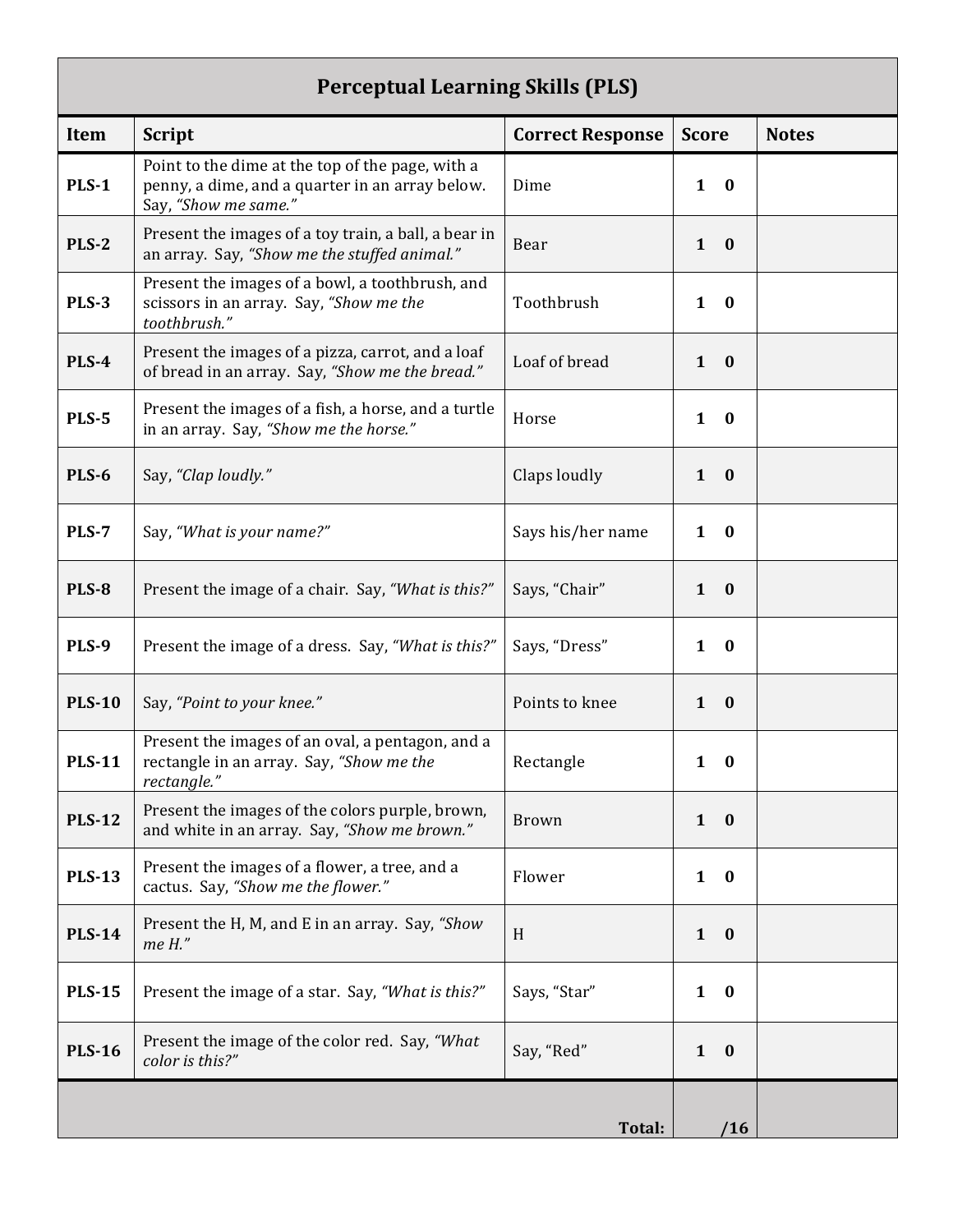### **Perceptual Learning Skills (PLS)**

| creeptuur beurming oknis († 60 j |                                                                                                                             |                         |                              |              |
|----------------------------------|-----------------------------------------------------------------------------------------------------------------------------|-------------------------|------------------------------|--------------|
| <b>Item</b>                      | <b>Script</b>                                                                                                               | <b>Correct Response</b> | <b>Score</b>                 | <b>Notes</b> |
| <b>PLS-1</b>                     | Point to the dime at the top of the page, with a<br>penny, a dime, and a quarter in an array below.<br>Say, "Show me same." | Dime                    | $\mathbf{1}$<br>$\bf{0}$     |              |
| <b>PLS-2</b>                     | Present the images of a toy train, a ball, a bear in<br>an array. Say, "Show me the stuffed animal."                        | Bear                    | $\mathbf{1}$<br>$\mathbf{0}$ |              |
| <b>PLS-3</b>                     | Present the images of a bowl, a toothbrush, and<br>scissors in an array. Say, "Show me the<br>toothbrush."                  | Toothbrush              | $\mathbf{1}$<br>$\bf{0}$     |              |
| <b>PLS-4</b>                     | Present the images of a pizza, carrot, and a loaf<br>of bread in an array. Say, "Show me the bread."                        | Loaf of bread           | $\mathbf{1}$<br>$\bf{0}$     |              |
| <b>PLS-5</b>                     | Present the images of a fish, a horse, and a turtle<br>in an array. Say, "Show me the horse."                               | Horse                   | $\mathbf{1}$<br>$\bf{0}$     |              |
| <b>PLS-6</b>                     | Say, "Clap loudly."                                                                                                         | Claps loudly            | $\mathbf{1}$<br>$\bf{0}$     |              |
| <b>PLS-7</b>                     | Say, "What is your name?"                                                                                                   | Says his/her name       | $\mathbf{1}$<br>$\bf{0}$     |              |
| <b>PLS-8</b>                     | Present the image of a chair. Say, "What is this?"                                                                          | Says, "Chair"           | $\mathbf{1}$<br>$\bf{0}$     |              |
| PLS-9                            | Present the image of a dress. Say, "What is this?"                                                                          | Says, "Dress"           | $\bf{0}$<br>1                |              |
| <b>PLS-10</b>                    | Say, "Point to your knee."                                                                                                  | Points to knee          | $\mathbf{1}$<br>$\bf{0}$     |              |
| <b>PLS-11</b>                    | Present the images of an oval, a pentagon, and a<br>rectangle in an array. Say, "Show me the<br>rectangle."                 | Rectangle               | 1<br>$\bf{0}$                |              |
| <b>PLS-12</b>                    | Present the images of the colors purple, brown,<br>and white in an array. Say, "Show me brown."                             | <b>Brown</b>            | $1 \quad 0$                  |              |
| <b>PLS-13</b>                    | Present the images of a flower, a tree, and a<br>cactus. Say, "Show me the flower."                                         | Flower                  | $\bf{0}$<br>$\mathbf{1}$     |              |
| <b>PLS-14</b>                    | Present the H, M, and E in an array. Say, "Show<br>me H."                                                                   | H                       | $\mathbf{1}$<br>$\bf{0}$     |              |
| <b>PLS-15</b>                    | Present the image of a star. Say, "What is this?"                                                                           | Says, "Star"            | $\mathbf{1}$<br>$\bf{0}$     |              |
| <b>PLS-16</b>                    | Present the image of the color red. Say, "What<br>color is this?"                                                           | Say, "Red"              | $\mathbf{1}$<br>$\bf{0}$     |              |
|                                  |                                                                                                                             | Total:                  | /16                          |              |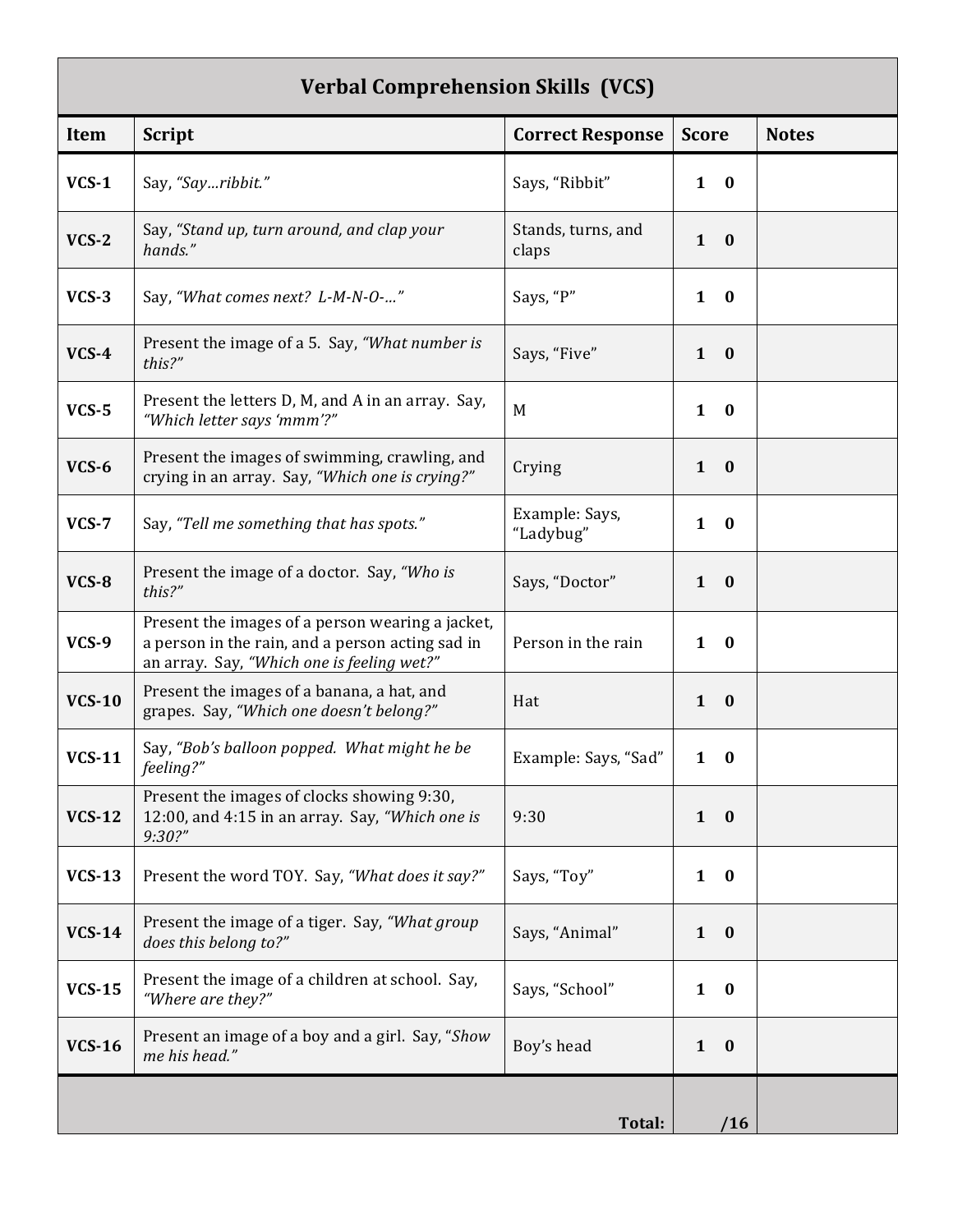## **Verbal Comprehension Skills (VCS)**

| Item          | <b>Script</b>                                                                                                                                      | <b>Correct Response</b>     | <b>Score</b>                 | <b>Notes</b> |
|---------------|----------------------------------------------------------------------------------------------------------------------------------------------------|-----------------------------|------------------------------|--------------|
| $VCS-1$       | Say, "Sayribbit."                                                                                                                                  | Says, "Ribbit"              | $\mathbf{1}$<br>$\bf{0}$     |              |
| $VCS-2$       | Say, "Stand up, turn around, and clap your<br>hands."                                                                                              | Stands, turns, and<br>claps | $\mathbf{1}$<br>$\bf{0}$     |              |
| $VCS-3$       | Say, "What comes next? L-M-N-O-"                                                                                                                   | Says, "P"                   | $\mathbf{1}$<br>$\bf{0}$     |              |
| $VCS-4$       | Present the image of a 5. Say, "What number is<br>this?"                                                                                           | Says, "Five"                | $1 \quad 0$                  |              |
| $VCS-5$       | Present the letters D, M, and A in an array. Say,<br>"Which letter says 'mmm'?"                                                                    | M                           | $\mathbf{1}$<br>$\bf{0}$     |              |
| $VCS-6$       | Present the images of swimming, crawling, and<br>crying in an array. Say, "Which one is crying?"                                                   | Crying                      | $1 \quad 0$                  |              |
| $VCS-7$       | Say, "Tell me something that has spots."                                                                                                           | Example: Says,<br>"Ladybug" | $\mathbf{1}$<br>$\bf{0}$     |              |
| $VCS-8$       | Present the image of a doctor. Say, "Who is<br>this?"                                                                                              | Says, "Doctor"              | $\mathbf{1}$<br>$\bf{0}$     |              |
| $VCS-9$       | Present the images of a person wearing a jacket,<br>a person in the rain, and a person acting sad in<br>an array. Say, "Which one is feeling wet?" | Person in the rain          | $1 \quad 0$                  |              |
| <b>VCS-10</b> | Present the images of a banana, a hat, and<br>grapes. Say, "Which one doesn't belong?"                                                             | Hat                         | $\mathbf{1}$<br>$\mathbf{0}$ |              |
| <b>VCS-11</b> | Say, "Bob's balloon popped. What might he be<br>feeling?"                                                                                          | Example: Says, "Sad"        | $\mathbf{1}$<br>$\bf{0}$     |              |
| <b>VCS-12</b> | Present the images of clocks showing 9:30,<br>12:00, and 4:15 in an array. Say, "Which one is<br>9:30?"                                            | 9:30                        | $\mathbf{0}$<br>$\mathbf{1}$ |              |
| <b>VCS-13</b> | Present the word TOY. Say, "What does it say?"                                                                                                     | Says, "Toy"                 | $1 \quad 0$                  |              |
| <b>VCS-14</b> | Present the image of a tiger. Say, "What group<br>does this belong to?"                                                                            | Says, "Animal"              | $1 \quad 0$                  |              |
| <b>VCS-15</b> | Present the image of a children at school. Say,<br>"Where are they?"                                                                               | Says, "School"              | $\mathbf{1}$<br>$\bf{0}$     |              |
| <b>VCS-16</b> | Present an image of a boy and a girl. Say, "Show<br>me his head."                                                                                  | Boy's head                  | $\mathbf{1}$<br>$\mathbf{0}$ |              |
|               |                                                                                                                                                    | Total:                      | /16                          |              |